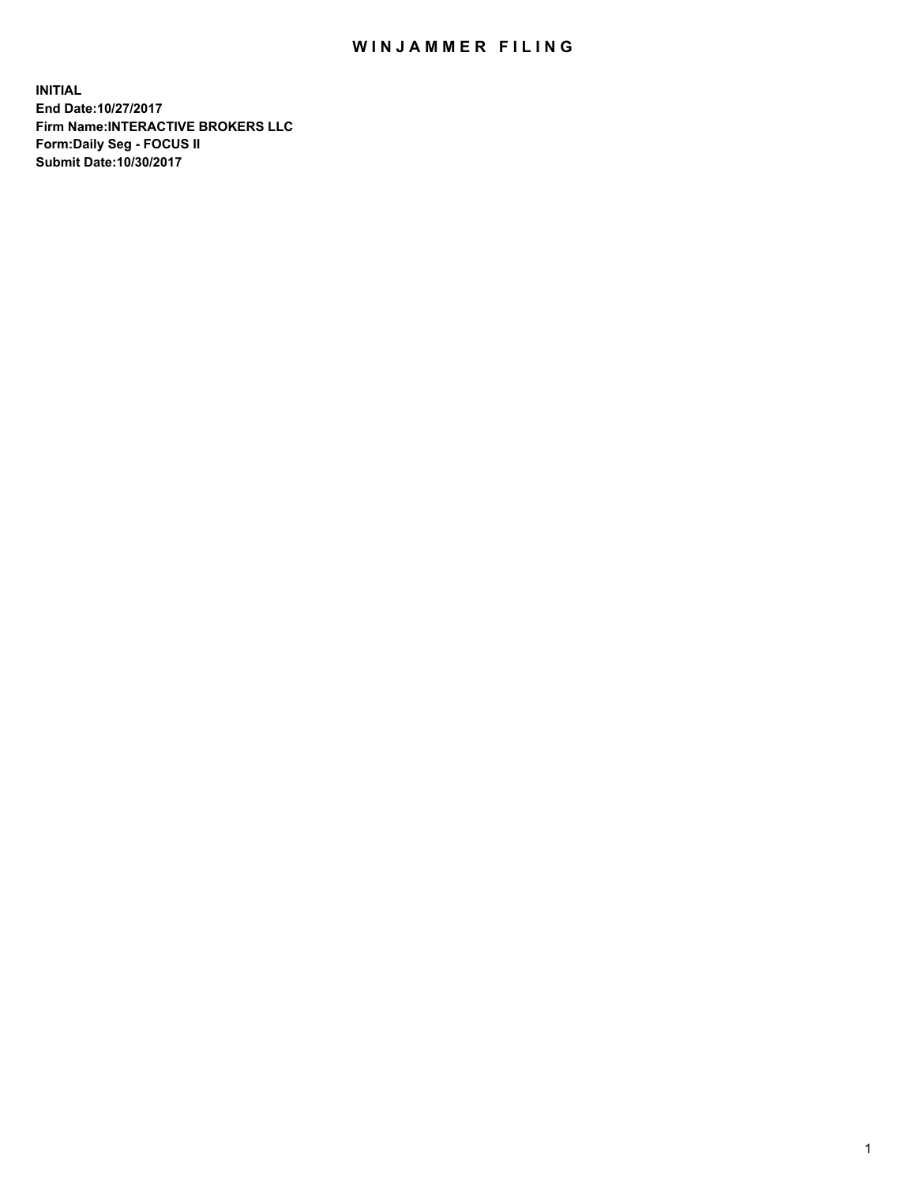## WIN JAMMER FILING

**INITIAL End Date:10/27/2017 Firm Name:INTERACTIVE BROKERS LLC Form:Daily Seg - FOCUS II Submit Date:10/30/2017**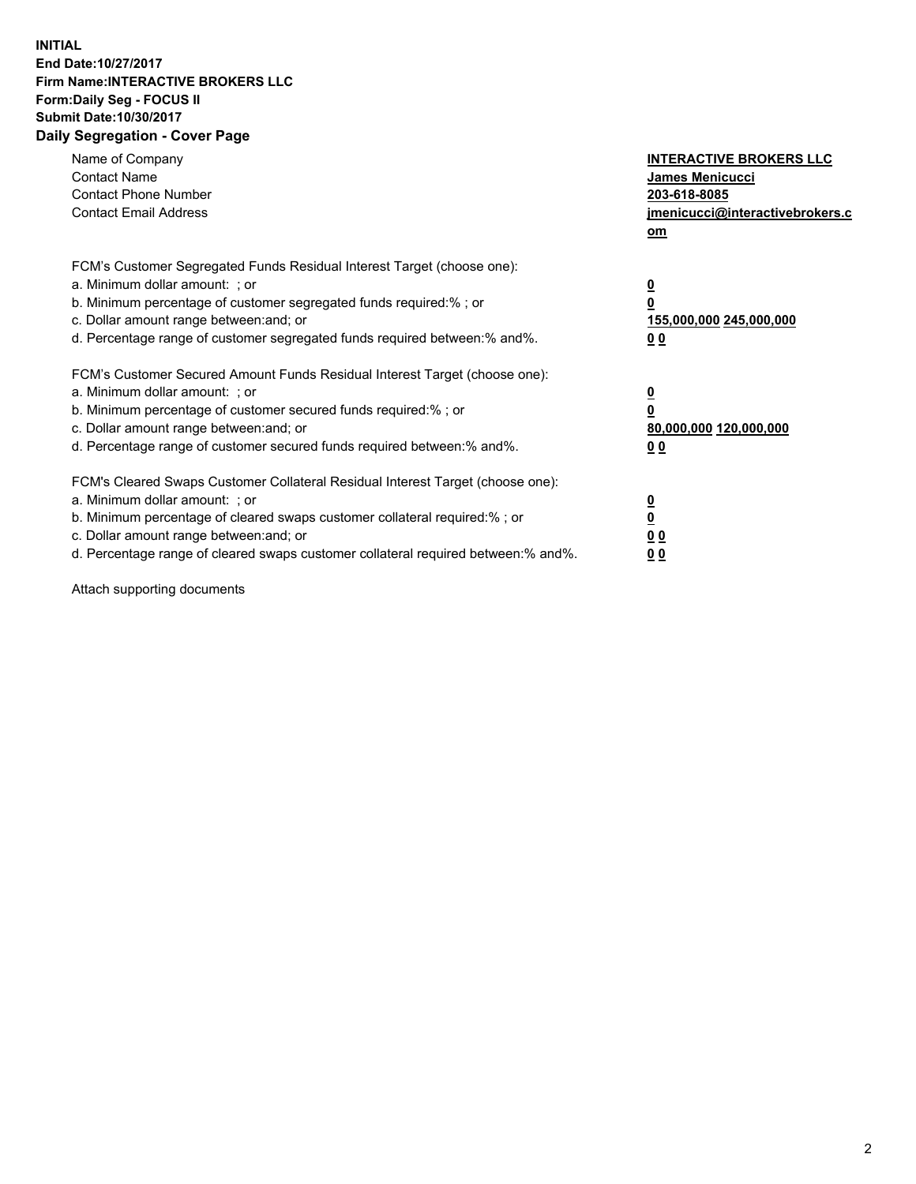## **INITIAL End Date:10/27/2017 Firm Name:INTERACTIVE BROKERS LLC Form:Daily Seg - FOCUS II Submit Date:10/30/2017 Daily Segregation - Cover Page**

| Name of Company<br><b>Contact Name</b><br><b>Contact Phone Number</b><br><b>Contact Email Address</b>                                                                                                                                                                                                                          | <b>INTERACTIVE BROKERS LLC</b><br><b>James Menicucci</b><br>203-618-8085<br>jmenicucci@interactivebrokers.c<br>om |
|--------------------------------------------------------------------------------------------------------------------------------------------------------------------------------------------------------------------------------------------------------------------------------------------------------------------------------|-------------------------------------------------------------------------------------------------------------------|
| FCM's Customer Segregated Funds Residual Interest Target (choose one):<br>a. Minimum dollar amount: ; or<br>b. Minimum percentage of customer segregated funds required:% ; or<br>c. Dollar amount range between: and; or<br>d. Percentage range of customer segregated funds required between:% and%.                         | $\overline{\mathbf{0}}$<br>0<br><u>155,000,000 245,000,000</u><br><u>00</u>                                       |
| FCM's Customer Secured Amount Funds Residual Interest Target (choose one):<br>a. Minimum dollar amount: ; or<br>b. Minimum percentage of customer secured funds required:%; or<br>c. Dollar amount range between: and; or<br>d. Percentage range of customer secured funds required between:% and%.                            | $\overline{\mathbf{0}}$<br>$\pmb{0}$<br>80,000,000 120,000,000<br>0 <sub>0</sub>                                  |
| FCM's Cleared Swaps Customer Collateral Residual Interest Target (choose one):<br>a. Minimum dollar amount: ; or<br>b. Minimum percentage of cleared swaps customer collateral required:% ; or<br>c. Dollar amount range between: and; or<br>d. Percentage range of cleared swaps customer collateral required between:% and%. | $\underline{\mathbf{0}}$<br>$\underline{\mathbf{0}}$<br>0 <sub>0</sub><br>00                                      |

Attach supporting documents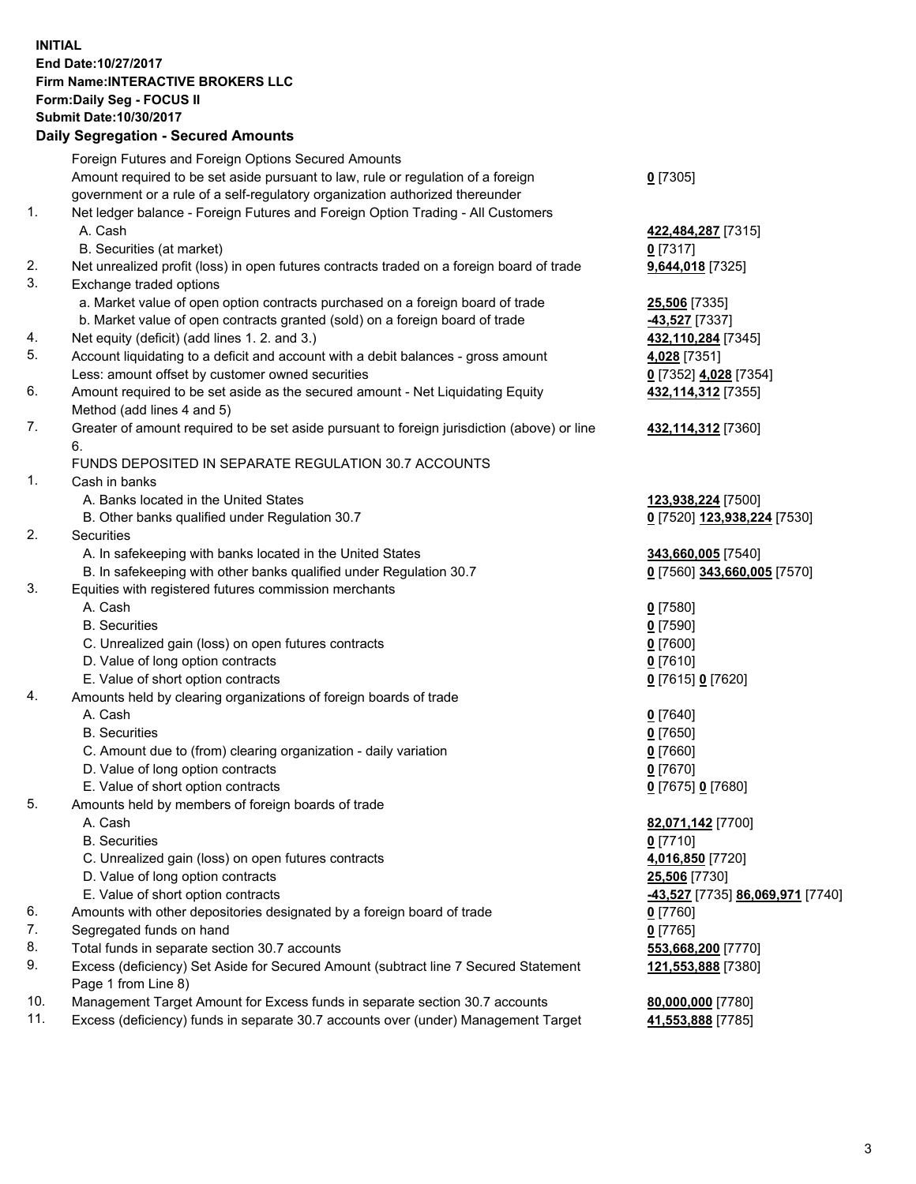## **INITIAL End Date:10/27/2017 Firm Name:INTERACTIVE BROKERS LLC Form:Daily Seg - FOCUS II Submit Date:10/30/2017 Daily Segregation - Secured Amounts**

|     | Daily Segregation - Secured Amounts                                                                        |                                  |
|-----|------------------------------------------------------------------------------------------------------------|----------------------------------|
|     | Foreign Futures and Foreign Options Secured Amounts                                                        |                                  |
|     | Amount required to be set aside pursuant to law, rule or regulation of a foreign                           | $0$ [7305]                       |
|     | government or a rule of a self-regulatory organization authorized thereunder                               |                                  |
| 1.  | Net ledger balance - Foreign Futures and Foreign Option Trading - All Customers                            |                                  |
|     | A. Cash                                                                                                    | 422,484,287 [7315]               |
|     | B. Securities (at market)                                                                                  | $0$ [7317]                       |
| 2.  | Net unrealized profit (loss) in open futures contracts traded on a foreign board of trade                  | 9,644,018 [7325]                 |
| 3.  | Exchange traded options                                                                                    |                                  |
|     | a. Market value of open option contracts purchased on a foreign board of trade                             | 25,506 [7335]                    |
|     | b. Market value of open contracts granted (sold) on a foreign board of trade                               | -43,527 [7337]                   |
| 4.  | Net equity (deficit) (add lines 1. 2. and 3.)                                                              | 432,110,284 [7345]               |
| 5.  | Account liquidating to a deficit and account with a debit balances - gross amount                          | 4,028 [7351]                     |
|     | Less: amount offset by customer owned securities                                                           | 0 [7352] 4,028 [7354]            |
| 6.  | Amount required to be set aside as the secured amount - Net Liquidating Equity                             | 432, 114, 312 [7355]             |
|     | Method (add lines 4 and 5)                                                                                 |                                  |
| 7.  | Greater of amount required to be set aside pursuant to foreign jurisdiction (above) or line                | 432,114,312 [7360]               |
|     | 6.                                                                                                         |                                  |
|     | FUNDS DEPOSITED IN SEPARATE REGULATION 30.7 ACCOUNTS                                                       |                                  |
| 1.  | Cash in banks                                                                                              |                                  |
|     | A. Banks located in the United States                                                                      | 123,938,224 [7500]               |
|     | B. Other banks qualified under Regulation 30.7                                                             | 0 [7520] 123,938,224 [7530]      |
| 2.  | <b>Securities</b>                                                                                          |                                  |
|     | A. In safekeeping with banks located in the United States                                                  | 343,660,005 [7540]               |
|     | B. In safekeeping with other banks qualified under Regulation 30.7                                         | 0 [7560] 343,660,005 [7570]      |
| 3.  | Equities with registered futures commission merchants                                                      |                                  |
|     | A. Cash                                                                                                    | $0$ [7580]                       |
|     | <b>B.</b> Securities                                                                                       | $0$ [7590]                       |
|     | C. Unrealized gain (loss) on open futures contracts                                                        | $0$ [7600]                       |
|     | D. Value of long option contracts                                                                          | $0$ [7610]                       |
|     | E. Value of short option contracts                                                                         | 0 [7615] 0 [7620]                |
| 4.  | Amounts held by clearing organizations of foreign boards of trade                                          |                                  |
|     | A. Cash                                                                                                    | $0$ [7640]                       |
|     | <b>B.</b> Securities                                                                                       | $0$ [7650]                       |
|     | C. Amount due to (from) clearing organization - daily variation                                            | $0$ [7660]                       |
|     | D. Value of long option contracts                                                                          | $0$ [7670]                       |
|     | E. Value of short option contracts                                                                         | 0 [7675] 0 [7680]                |
| 5.  | Amounts held by members of foreign boards of trade                                                         |                                  |
|     | A. Cash                                                                                                    | 82,071,142 [7700]                |
|     | <b>B.</b> Securities                                                                                       | $0$ [7710]                       |
|     | C. Unrealized gain (loss) on open futures contracts                                                        | 4,016,850 [7720]                 |
|     | D. Value of long option contracts                                                                          | 25,506 [7730]                    |
|     | E. Value of short option contracts                                                                         | -43,527 [7735] 86,069,971 [7740] |
| 6.  | Amounts with other depositories designated by a foreign board of trade                                     | $0$ [7760]                       |
| 7.  | Segregated funds on hand                                                                                   | $0$ [7765]                       |
| 8.  | Total funds in separate section 30.7 accounts                                                              | 553,668,200 [7770]               |
| 9.  | Excess (deficiency) Set Aside for Secured Amount (subtract line 7 Secured Statement<br>Page 1 from Line 8) | 121,553,888 [7380]               |
| 10. | Management Target Amount for Excess funds in separate section 30.7 accounts                                | 80,000,000 [7780]                |
| 11. | Excess (deficiency) funds in separate 30.7 accounts over (under) Management Target                         | 41,553,888 [7785]                |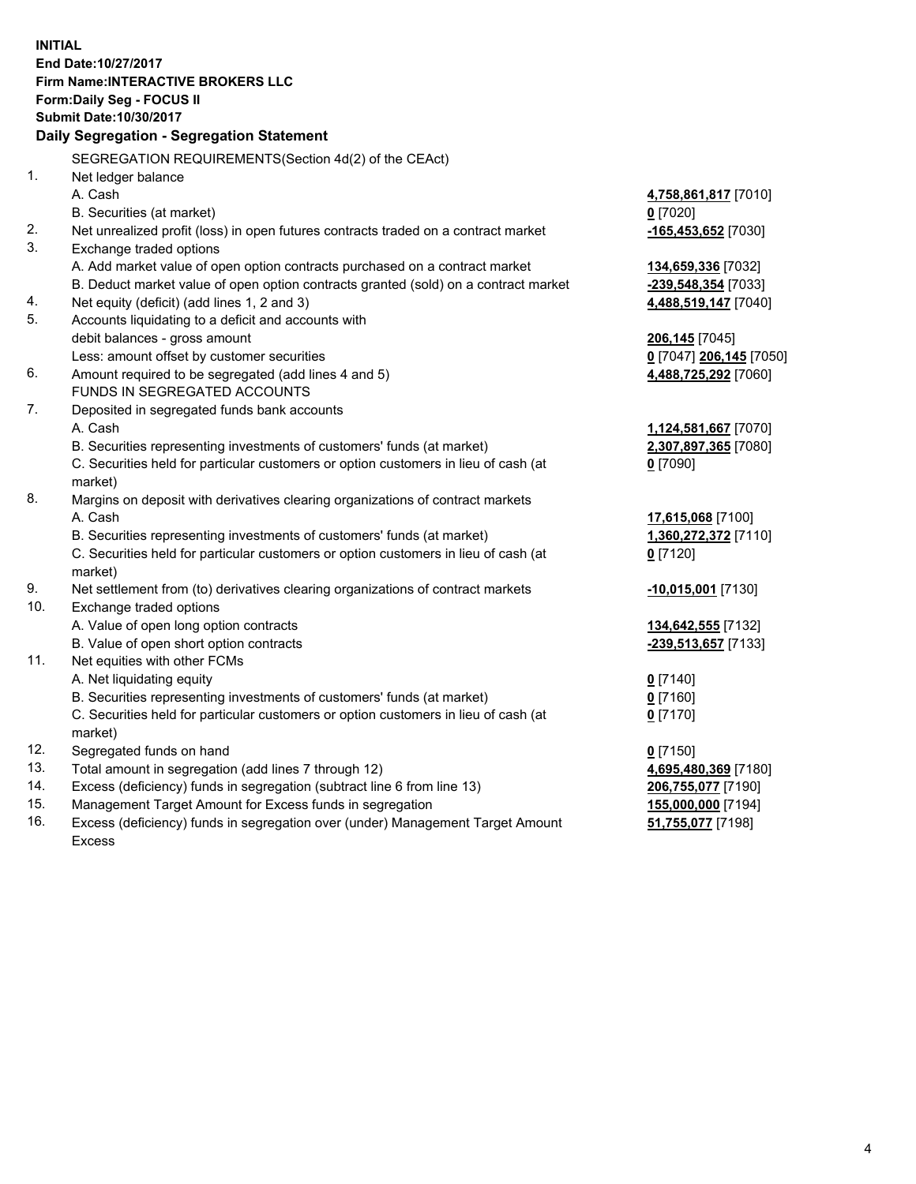**INITIAL End Date:10/27/2017 Firm Name:INTERACTIVE BROKERS LLC Form:Daily Seg - FOCUS II Submit Date:10/30/2017 Daily Segregation - Segregation Statement** SEGREGATION REQUIREMENTS(Section 4d(2) of the CEAct) 1. Net ledger balance A. Cash **4,758,861,817** [7010] B. Securities (at market) **0** [7020] 2. Net unrealized profit (loss) in open futures contracts traded on a contract market **-165,453,652** [7030] 3. Exchange traded options A. Add market value of open option contracts purchased on a contract market **134,659,336** [7032] B. Deduct market value of open option contracts granted (sold) on a contract market **-239,548,354** [7033] 4. Net equity (deficit) (add lines 1, 2 and 3) **4,488,519,147** [7040] 5. Accounts liquidating to a deficit and accounts with debit balances - gross amount **206,145** [7045] Less: amount offset by customer securities **0** [7047] **206,145** [7050] 6. Amount required to be segregated (add lines 4 and 5) **4,488,725,292** [7060] FUNDS IN SEGREGATED ACCOUNTS 7. Deposited in segregated funds bank accounts A. Cash **1,124,581,667** [7070] B. Securities representing investments of customers' funds (at market) **2,307,897,365** [7080] C. Securities held for particular customers or option customers in lieu of cash (at market) **0** [7090] 8. Margins on deposit with derivatives clearing organizations of contract markets A. Cash **17,615,068** [7100] B. Securities representing investments of customers' funds (at market) **1,360,272,372** [7110] C. Securities held for particular customers or option customers in lieu of cash (at market) **0** [7120] 9. Net settlement from (to) derivatives clearing organizations of contract markets **-10,015,001** [7130] 10. Exchange traded options A. Value of open long option contracts **134,642,555** [7132] B. Value of open short option contracts **-239,513,657** [7133] 11. Net equities with other FCMs A. Net liquidating equity **0** [7140] B. Securities representing investments of customers' funds (at market) **0** [7160] C. Securities held for particular customers or option customers in lieu of cash (at market) **0** [7170] 12. Segregated funds on hand **0** [7150] 13. Total amount in segregation (add lines 7 through 12) **4,695,480,369** [7180] 14. Excess (deficiency) funds in segregation (subtract line 6 from line 13) **206,755,077** [7190] 15. Management Target Amount for Excess funds in segregation **155,000,000** [7194] **51,755,077** [7198]

16. Excess (deficiency) funds in segregation over (under) Management Target Amount Excess